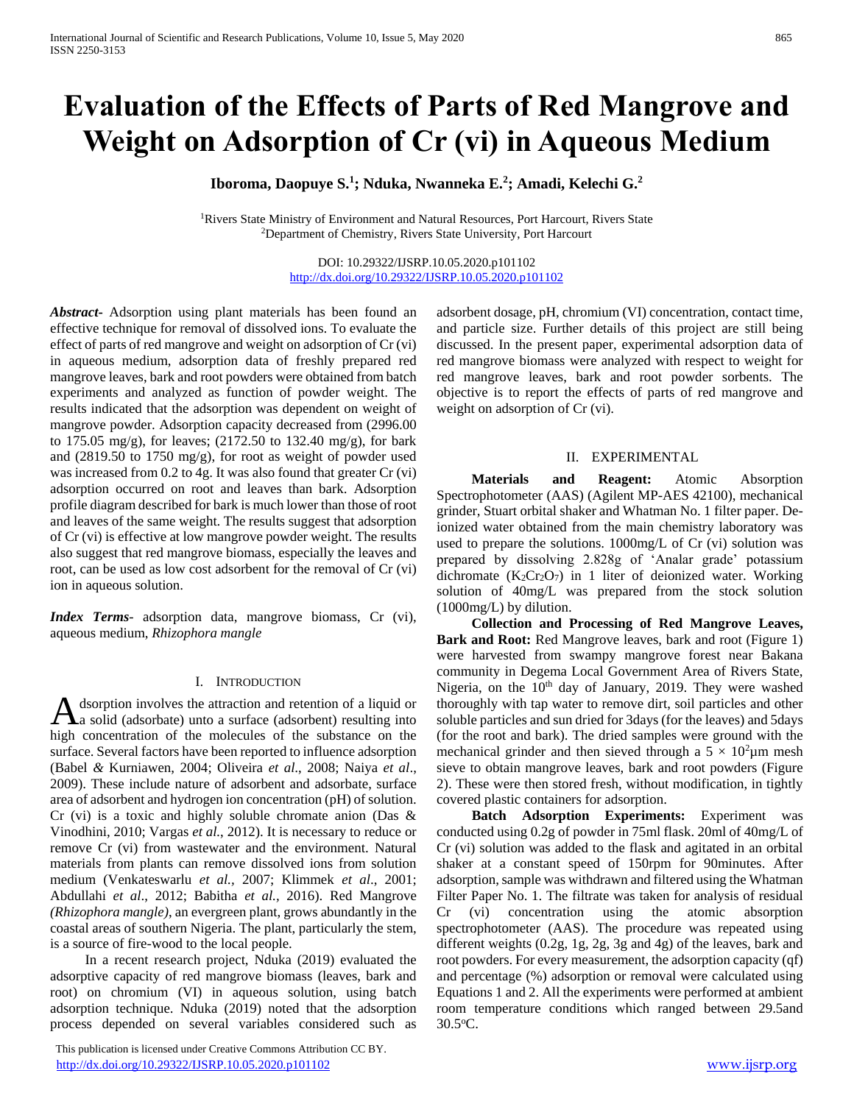# **Evaluation of the Effects of Parts of Red Mangrove and Weight on Adsorption of Cr (vi) in Aqueous Medium**

**Iboroma, Daopuye S.<sup>1</sup> ; Nduka, Nwanneka E.<sup>2</sup> ; Amadi, Kelechi G.<sup>2</sup>**

<sup>1</sup>Rivers State Ministry of Environment and Natural Resources, Port Harcourt, Rivers State <sup>2</sup>Department of Chemistry, Rivers State University, Port Harcourt

> DOI: 10.29322/IJSRP.10.05.2020.p101102 <http://dx.doi.org/10.29322/IJSRP.10.05.2020.p101102>

*Abstract***-** Adsorption using plant materials has been found an effective technique for removal of dissolved ions. To evaluate the effect of parts of red mangrove and weight on adsorption of Cr (vi) in aqueous medium, adsorption data of freshly prepared red mangrove leaves, bark and root powders were obtained from batch experiments and analyzed as function of powder weight. The results indicated that the adsorption was dependent on weight of mangrove powder. Adsorption capacity decreased from (2996.00 to 175.05 mg/g), for leaves; (2172.50 to 132.40 mg/g), for bark and (2819.50 to 1750 mg/g), for root as weight of powder used was increased from 0.2 to 4g. It was also found that greater Cr (vi) adsorption occurred on root and leaves than bark. Adsorption profile diagram described for bark is much lower than those of root and leaves of the same weight. The results suggest that adsorption of Cr (vi) is effective at low mangrove powder weight. The results also suggest that red mangrove biomass, especially the leaves and root, can be used as low cost adsorbent for the removal of Cr (vi) ion in aqueous solution.

*Index Terms*- adsorption data, mangrove biomass, Cr (vi), aqueous medium, *Rhizophora mangle*

### I. INTRODUCTION

dsorption involves the attraction and retention of a liquid or A dsorption involves the attraction and retention of a liquid or<br>
a solid (adsorbate) unto a surface (adsorbent) resulting into high concentration of the molecules of the substance on the surface. Several factors have been reported to influence adsorption (Babel *&* Kurniawen, 2004; Oliveira *et al*., 2008; Naiya *et al*., 2009). These include nature of adsorbent and adsorbate, surface area of adsorbent and hydrogen ion concentration (pH) of solution. Cr (vi) is a toxic and highly soluble chromate anion (Das  $\&$ Vinodhini, 2010; Vargas *et al.*, 2012). It is necessary to reduce or remove Cr (vi) from wastewater and the environment. Natural materials from plants can remove dissolved ions from solution medium (Venkateswarlu *et al.,* 2007; Klimmek *et al*., 2001; Abdullahi *et al*., 2012; Babitha *et al.,* 2016). Red Mangrove *(Rhizophora mangle)*, an evergreen plant, grows abundantly in the coastal areas of southern Nigeria. The plant, particularly the stem, is a source of fire-wood to the local people.

 In a recent research project, Nduka (2019) evaluated the adsorptive capacity of red mangrove biomass (leaves, bark and root) on chromium (VI) in aqueous solution, using batch adsorption technique. Nduka (2019) noted that the adsorption process depended on several variables considered such as

 This publication is licensed under Creative Commons Attribution CC BY. <http://dx.doi.org/10.29322/IJSRP.10.05.2020.p101102> [www.ijsrp.org](http://ijsrp.org/)

adsorbent dosage, pH, chromium (VI) concentration, contact time, and particle size. Further details of this project are still being discussed. In the present paper, experimental adsorption data of red mangrove biomass were analyzed with respect to weight for red mangrove leaves, bark and root powder sorbents. The objective is to report the effects of parts of red mangrove and weight on adsorption of Cr (vi).

## II. EXPERIMENTAL

 **Materials and Reagent:** Atomic Absorption Spectrophotometer (AAS) (Agilent MP-AES 42100), mechanical grinder, Stuart orbital shaker and Whatman No. 1 filter paper. Deionized water obtained from the main chemistry laboratory was used to prepare the solutions. 1000mg/L of Cr (vi) solution was prepared by dissolving 2.828g of 'Analar grade' potassium dichromate  $(K_2Cr_2O_7)$  in 1 liter of deionized water. Working solution of 40mg/L was prepared from the stock solution (1000mg/L) by dilution.

 **Collection and Processing of Red Mangrove Leaves, Bark and Root:** Red Mangrove leaves, bark and root (Figure 1) were harvested from swampy mangrove forest near Bakana community in Degema Local Government Area of Rivers State, Nigeria, on the  $10<sup>th</sup>$  day of January, 2019. They were washed thoroughly with tap water to remove dirt, soil particles and other soluble particles and sun dried for 3days (for the leaves) and 5days (for the root and bark). The dried samples were ground with the mechanical grinder and then sieved through a  $5 \times 10^2 \mu m$  mesh sieve to obtain mangrove leaves, bark and root powders (Figure 2). These were then stored fresh, without modification, in tightly covered plastic containers for adsorption.

 **Batch Adsorption Experiments:** Experiment was conducted using 0.2g of powder in 75ml flask. 20ml of 40mg/L of Cr (vi) solution was added to the flask and agitated in an orbital shaker at a constant speed of 150rpm for 90minutes. After adsorption, sample was withdrawn and filtered using the Whatman Filter Paper No. 1. The filtrate was taken for analysis of residual Cr (vi) concentration using the atomic absorption spectrophotometer (AAS). The procedure was repeated using different weights (0.2g, 1g, 2g, 3g and 4g) of the leaves, bark and root powders. For every measurement, the adsorption capacity (qf) and percentage (%) adsorption or removal were calculated using Equations 1 and 2. All the experiments were performed at ambient room temperature conditions which ranged between 29.5and 30.5<sup>o</sup>C.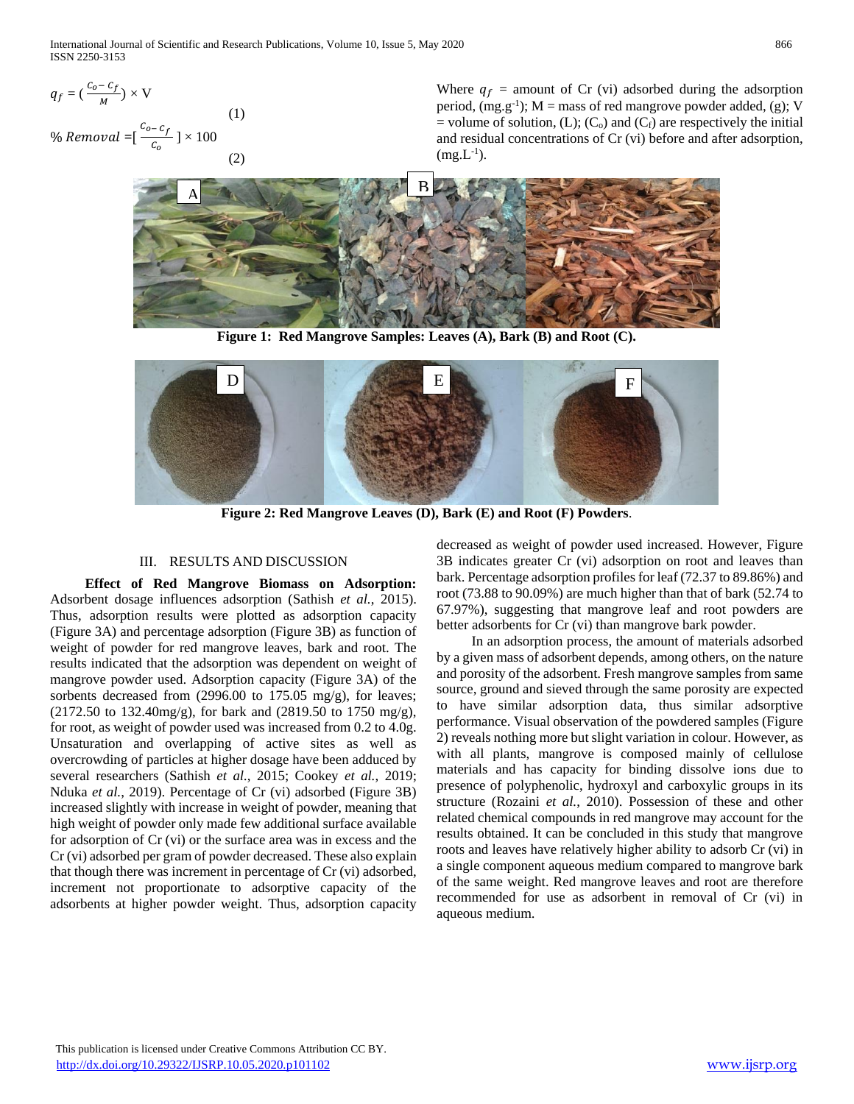$$
q_f = \left(\frac{c_o - c_f}{M}\right) \times V
$$
\n<sup>(1)</sup>\n
$$
\% Removal = \left[\frac{c_{o} - c_f}{c_o}\right] \times 100
$$
\n<sup>(2)</sup>

Where  $q_f$  = amount of Cr (vi) adsorbed during the adsorption period,  $(mg.g^{-1})$ ;  $M =$  mass of red mangrove powder added, (g); V = volume of solution, (L); (C<sub>o</sub>) and (C<sub>f</sub>) are respectively the initial and residual concentrations of Cr (vi) before and after adsorption,  $(mg.L^{-1})$ .



**Figure 1: Red Mangrove Samples: Leaves (A), Bark (B) and Root (C).**



**Figure 2: Red Mangrove Leaves (D), Bark (E) and Root (F) Powders**.

### III. RESULTS AND DISCUSSION

 **Effect of Red Mangrove Biomass on Adsorption:** Adsorbent dosage influences adsorption (Sathish *et al.*, 2015). Thus, adsorption results were plotted as adsorption capacity (Figure 3A) and percentage adsorption (Figure 3B) as function of weight of powder for red mangrove leaves, bark and root. The results indicated that the adsorption was dependent on weight of mangrove powder used. Adsorption capacity (Figure 3A) of the sorbents decreased from (2996.00 to 175.05 mg/g), for leaves; (2172.50 to 132.40mg/g), for bark and (2819.50 to 1750 mg/g), for root, as weight of powder used was increased from 0.2 to 4.0g. Unsaturation and overlapping of active sites as well as overcrowding of particles at higher dosage have been adduced by several researchers (Sathish *et al.*, 2015; Cookey *et al.*, 2019; Nduka *et al.*, 2019). Percentage of Cr (vi) adsorbed (Figure 3B) increased slightly with increase in weight of powder, meaning that high weight of powder only made few additional surface available for adsorption of Cr (vi) or the surface area was in excess and the Cr (vi) adsorbed per gram of powder decreased. These also explain that though there was increment in percentage of Cr (vi) adsorbed, increment not proportionate to adsorptive capacity of the adsorbents at higher powder weight. Thus, adsorption capacity

decreased as weight of powder used increased. However, Figure 3B indicates greater Cr (vi) adsorption on root and leaves than bark. Percentage adsorption profiles for leaf (72.37 to 89.86%) and root (73.88 to 90.09%) are much higher than that of bark (52.74 to 67.97%), suggesting that mangrove leaf and root powders are better adsorbents for Cr (vi) than mangrove bark powder.

 In an adsorption process, the amount of materials adsorbed by a given mass of adsorbent depends, among others, on the nature and porosity of the adsorbent. Fresh mangrove samples from same source, ground and sieved through the same porosity are expected to have similar adsorption data, thus similar adsorptive performance. Visual observation of the powdered samples (Figure 2) reveals nothing more but slight variation in colour. However, as with all plants, mangrove is composed mainly of cellulose materials and has capacity for binding dissolve ions due to presence of polyphenolic, hydroxyl and carboxylic groups in its structure (Rozaini *et al.*, 2010). Possession of these and other related chemical compounds in red mangrove may account for the results obtained. It can be concluded in this study that mangrove roots and leaves have relatively higher ability to adsorb Cr (vi) in a single component aqueous medium compared to mangrove bark of the same weight. Red mangrove leaves and root are therefore recommended for use as adsorbent in removal of Cr (vi) in aqueous medium.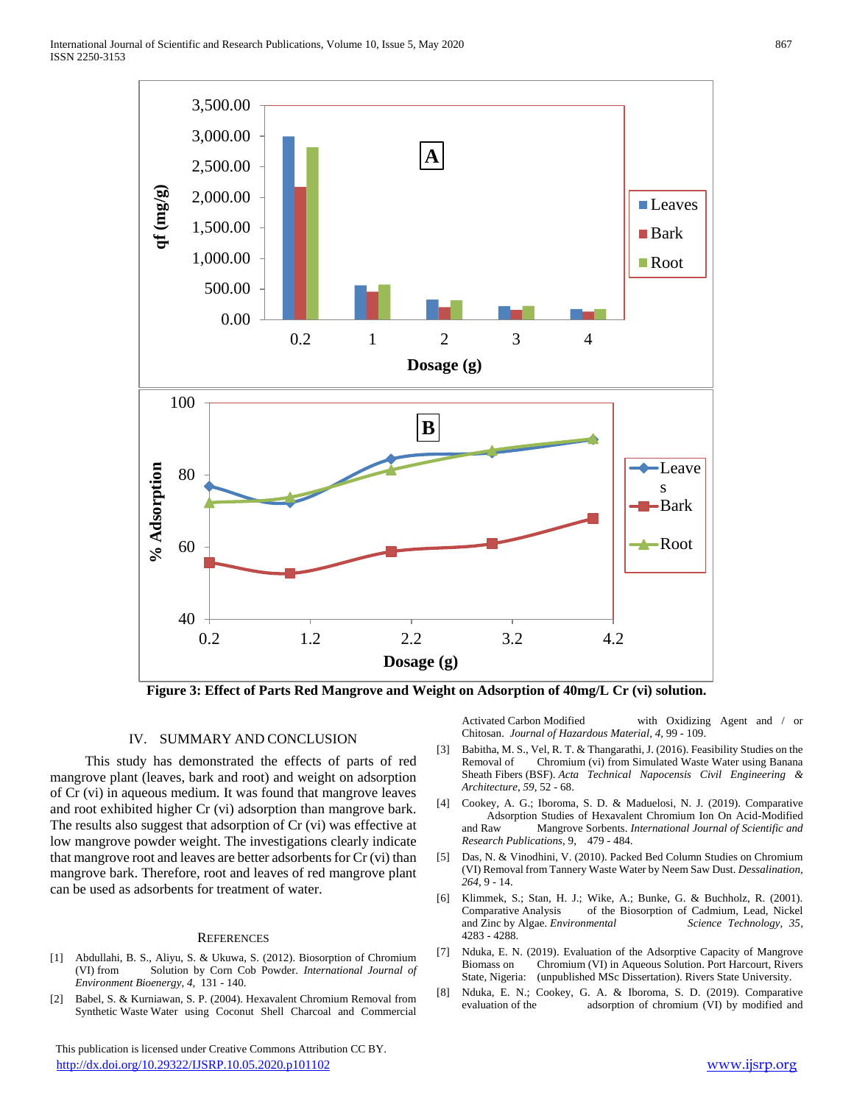

**Figure 3: Effect of Parts Red Mangrove and Weight on Adsorption of 40mg/L Cr (vi) solution.**

## IV. SUMMARY AND CONCLUSION

 This study has demonstrated the effects of parts of red mangrove plant (leaves, bark and root) and weight on adsorption of Cr (vi) in aqueous medium. It was found that mangrove leaves and root exhibited higher Cr (vi) adsorption than mangrove bark. The results also suggest that adsorption of Cr (vi) was effective at low mangrove powder weight. The investigations clearly indicate that mangrove root and leaves are better adsorbents for Cr (vi) than mangrove bark. Therefore, root and leaves of red mangrove plant can be used as adsorbents for treatment of water.

### **REFERENCES**

- [1] Abdullahi, B. S., Aliyu, S. & Ukuwa, S. (2012). Biosorption of Chromium (VI) from Solution by Corn Cob Powder. *International Journal of Environment Bioenergy*, *4,* 131 - 140.
- [2] Babel, S. & Kurniawan, S. P. (2004). Hexavalent Chromium Removal from Synthetic Waste Water using Coconut Shell Charcoal and Commercial

 This publication is licensed under Creative Commons Attribution CC BY. <http://dx.doi.org/10.29322/IJSRP.10.05.2020.p101102> [www.ijsrp.org](http://ijsrp.org/)

Activated Carbon Modified with Oxidizing Agent and / or Chitosan.*Journal of Hazardous Material, 4,* 99 - 109.

- [3] Babitha, M. S., Vel, R. T. & Thangarathi, J. (2016). Feasibility Studies on the Removal of Chromium (vi) from Simulated Waste Water using Banana Sheath Fibers (BSF). *Acta Technical Napocensis Civil Engineering & Architecture*, *59*, 52 - 68.
- [4] Cookey, A. G.; Iboroma, S. D. & Maduelosi, N. J. (2019). Comparative Adsorption Studies of Hexavalent Chromium Ion On Acid-Modified and Raw Mangrove Sorbents. *International Journal of Scientific and Research Publications*, 9, 479 - 484.
- [5] Das, N. & Vinodhini, V. (2010). Packed Bed Column Studies on Chromium (VI) Removal from Tannery Waste Water by Neem Saw Dust. *Dessalination, 264,* 9 - 14.
- [6] Klimmek, S.; Stan, H. J.; Wike, A.; Bunke, G. & Buchholz, R. (2001). Comparative Analysis of the Biosorption of Cadmium, Lead, Nickel and Zinc by Algae. *Environmental Science Technology, 35*, 4283 - 4288.
- [7] Nduka, E. N. (2019). Evaluation of the Adsorptive Capacity of Mangrove Biomass on Chromium (VI) in Aqueous Solution. Port Harcourt, Rivers State, Nigeria: (unpublished MSc Dissertation). Rivers State University.
- [8] Nduka, E. N.; Cookey, G. A. & Iboroma, S. D. (2019). Comparative adsorption of chromium (VI) by modified and